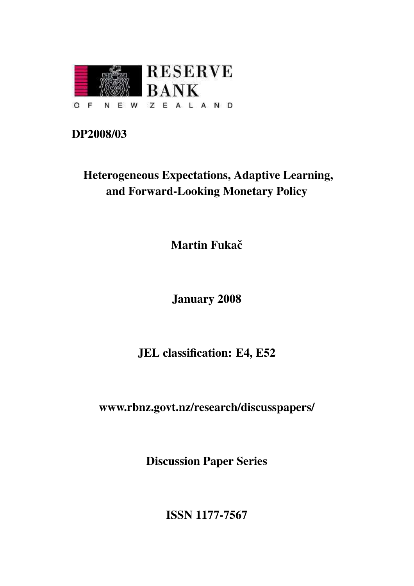

# DP2008/03

# Heterogeneous Expectations, Adaptive Learning, and Forward-Looking Monetary Policy

Martin Fukač

January 2008

JEL classification: E4, E52

www.rbnz.govt.nz/research/discusspapers/

Discussion Paper Series

ISSN 1177-7567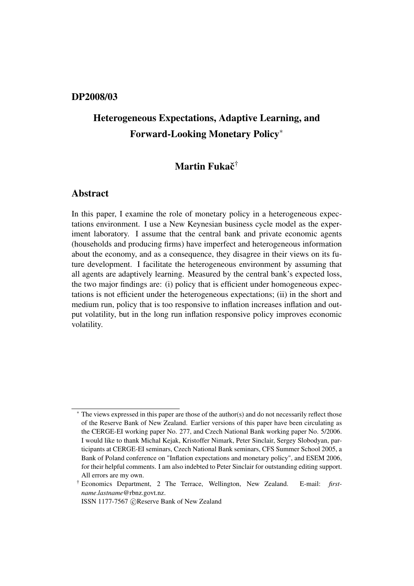#### DP2008/03

# Heterogeneous Expectations, Adaptive Learning, and Forward-Looking Monetary Policy<sup>∗</sup>

# Martin Fukač<sup>†</sup>

### Abstract

In this paper, I examine the role of monetary policy in a heterogeneous expectations environment. I use a New Keynesian business cycle model as the experiment laboratory. I assume that the central bank and private economic agents (households and producing firms) have imperfect and heterogeneous information about the economy, and as a consequence, they disagree in their views on its future development. I facilitate the heterogeneous environment by assuming that all agents are adaptively learning. Measured by the central bank's expected loss, the two major findings are: (i) policy that is efficient under homogeneous expectations is not efficient under the heterogeneous expectations; (ii) in the short and medium run, policy that is too responsive to inflation increases inflation and output volatility, but in the long run inflation responsive policy improves economic volatility.

<sup>∗</sup> The views expressed in this paper are those of the author(s) and do not necessarily reflect those of the Reserve Bank of New Zealand. Earlier versions of this paper have been circulating as the CERGE-EI working paper No. 277, and Czech National Bank working paper No. 5/2006. I would like to thank Michal Kejak, Kristoffer Nimark, Peter Sinclair, Sergey Slobodyan, participants at CERGE-EI seminars, Czech National Bank seminars, CFS Summer School 2005, a Bank of Poland conference on "Inflation expectations and monetary policy", and ESEM 2006, for their helpful comments. I am also indebted to Peter Sinclair for outstanding editing support. All errors are my own.

<sup>†</sup> Economics Department, 2 The Terrace, Wellington, New Zealand. E-mail: *firstname*.*lastname*@rbnz.govt.nz.

ISSN 1177-7567 ©Reserve Bank of New Zealand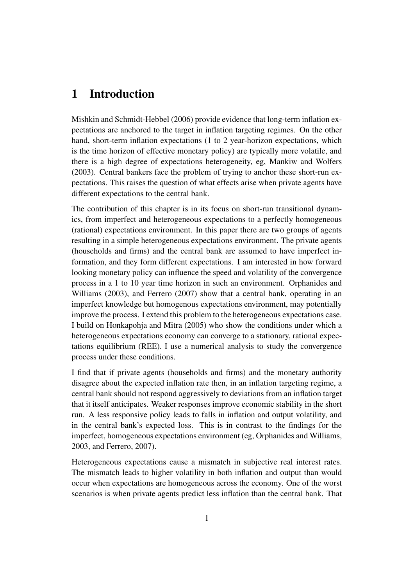# 1 Introduction

Mishkin and Schmidt-Hebbel (2006) provide evidence that long-term inflation expectations are anchored to the target in inflation targeting regimes. On the other hand, short-term inflation expectations (1 to 2 year-horizon expectations, which is the time horizon of effective monetary policy) are typically more volatile, and there is a high degree of expectations heterogeneity, eg, Mankiw and Wolfers (2003). Central bankers face the problem of trying to anchor these short-run expectations. This raises the question of what effects arise when private agents have different expectations to the central bank.

The contribution of this chapter is in its focus on short-run transitional dynamics, from imperfect and heterogeneous expectations to a perfectly homogeneous (rational) expectations environment. In this paper there are two groups of agents resulting in a simple heterogeneous expectations environment. The private agents (households and firms) and the central bank are assumed to have imperfect information, and they form different expectations. I am interested in how forward looking monetary policy can influence the speed and volatility of the convergence process in a 1 to 10 year time horizon in such an environment. Orphanides and Williams (2003), and Ferrero (2007) show that a central bank, operating in an imperfect knowledge but homogenous expectations environment, may potentially improve the process. I extend this problem to the heterogeneous expectations case. I build on Honkapohja and Mitra (2005) who show the conditions under which a heterogeneous expectations economy can converge to a stationary, rational expectations equilibrium (REE). I use a numerical analysis to study the convergence process under these conditions.

I find that if private agents (households and firms) and the monetary authority disagree about the expected inflation rate then, in an inflation targeting regime, a central bank should not respond aggressively to deviations from an inflation target that it itself anticipates. Weaker responses improve economic stability in the short run. A less responsive policy leads to falls in inflation and output volatility, and in the central bank's expected loss. This is in contrast to the findings for the imperfect, homogeneous expectations environment (eg, Orphanides and Williams, 2003, and Ferrero, 2007).

Heterogeneous expectations cause a mismatch in subjective real interest rates. The mismatch leads to higher volatility in both inflation and output than would occur when expectations are homogeneous across the economy. One of the worst scenarios is when private agents predict less inflation than the central bank. That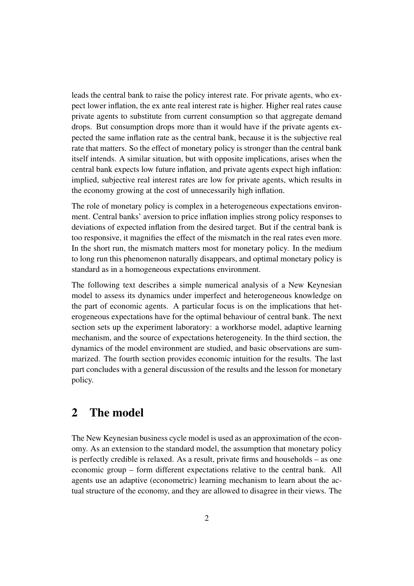leads the central bank to raise the policy interest rate. For private agents, who expect lower inflation, the ex ante real interest rate is higher. Higher real rates cause private agents to substitute from current consumption so that aggregate demand drops. But consumption drops more than it would have if the private agents expected the same inflation rate as the central bank, because it is the subjective real rate that matters. So the effect of monetary policy is stronger than the central bank itself intends. A similar situation, but with opposite implications, arises when the central bank expects low future inflation, and private agents expect high inflation: implied, subjective real interest rates are low for private agents, which results in the economy growing at the cost of unnecessarily high inflation.

The role of monetary policy is complex in a heterogeneous expectations environment. Central banks' aversion to price inflation implies strong policy responses to deviations of expected inflation from the desired target. But if the central bank is too responsive, it magnifies the effect of the mismatch in the real rates even more. In the short run, the mismatch matters most for monetary policy. In the medium to long run this phenomenon naturally disappears, and optimal monetary policy is standard as in a homogeneous expectations environment.

The following text describes a simple numerical analysis of a New Keynesian model to assess its dynamics under imperfect and heterogeneous knowledge on the part of economic agents. A particular focus is on the implications that heterogeneous expectations have for the optimal behaviour of central bank. The next section sets up the experiment laboratory: a workhorse model, adaptive learning mechanism, and the source of expectations heterogeneity. In the third section, the dynamics of the model environment are studied, and basic observations are summarized. The fourth section provides economic intuition for the results. The last part concludes with a general discussion of the results and the lesson for monetary policy.

# 2 The model

The New Keynesian business cycle model is used as an approximation of the economy. As an extension to the standard model, the assumption that monetary policy is perfectly credible is relaxed. As a result, private firms and households – as one economic group – form different expectations relative to the central bank. All agents use an adaptive (econometric) learning mechanism to learn about the actual structure of the economy, and they are allowed to disagree in their views. The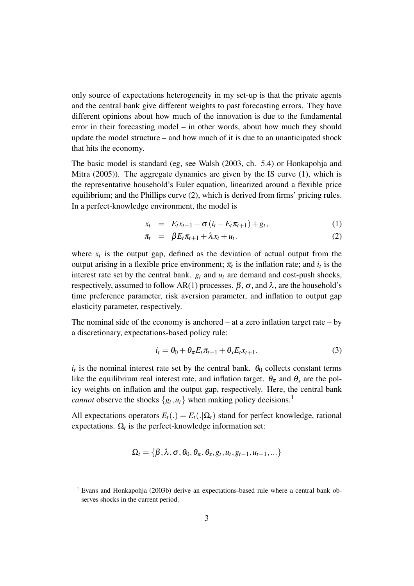only source of expectations heterogeneity in my set-up is that the private agents and the central bank give different weights to past forecasting errors. They have different opinions about how much of the innovation is due to the fundamental error in their forecasting model – in other words, about how much they should update the model structure – and how much of it is due to an unanticipated shock that hits the economy.

The basic model is standard (eg, see Walsh (2003, ch. 5.4) or Honkapohja and Mitra (2005)). The aggregate dynamics are given by the IS curve (1), which is the representative household's Euler equation, linearized around a flexible price equilibrium; and the Phillips curve (2), which is derived from firms' pricing rules. In a perfect-knowledge environment, the model is

$$
x_t = E_t x_{t+1} - \sigma (i_t - E_t \pi_{t+1}) + g_t, \qquad (1)
$$

$$
\pi_t = \beta E_t \pi_{t+1} + \lambda x_t + u_t. \tag{2}
$$

where  $x_t$  is the output gap, defined as the deviation of actual output from the output arising in a flexible price environment;  $\pi_t$  is the inflation rate; and  $i_t$  is the interest rate set by the central bank.  $g_t$  and  $u_t$  are demand and cost-push shocks, respectively, assumed to follow AR(1) processes.  $\beta$ ,  $\sigma$ , and  $\lambda$ , are the household's time preference parameter, risk aversion parameter, and inflation to output gap elasticity parameter, respectively.

The nominal side of the economy is anchored  $-$  at a zero inflation target rate  $-$  by a discretionary, expectations-based policy rule:

$$
i_t = \theta_0 + \theta_\pi E_t \pi_{t+1} + \theta_x E_t x_{t+1}.
$$
\n(3)

 $i_t$  is the nominal interest rate set by the central bank.  $\theta_0$  collects constant terms like the equilibrium real interest rate, and inflation target.  $\theta_{\pi}$  and  $\theta_{x}$  are the policy weights on inflation and the output gap, respectively. Here, the central bank *cannot* observe the shocks  $\{g_t, u_t\}$  when making policy decisions.<sup>1</sup>

All expectations operators  $E_t(.) = E_t(.|\Omega_t)$  stand for perfect knowledge, rational expectations.  $\Omega_t$  is the perfect-knowledge information set:

$$
\Omega_t = \{\boldsymbol{\beta}, \boldsymbol{\lambda}, \boldsymbol{\sigma}, \boldsymbol{\theta}_0, \boldsymbol{\theta}_{\boldsymbol{\pi}}, \boldsymbol{\theta}_{\!x}, g_t, u_t, g_{t-1}, u_{t-1}, \ldots\}
$$

<sup>&</sup>lt;sup>1</sup> Evans and Honkapohja (2003b) derive an expectations-based rule where a central bank observes shocks in the current period.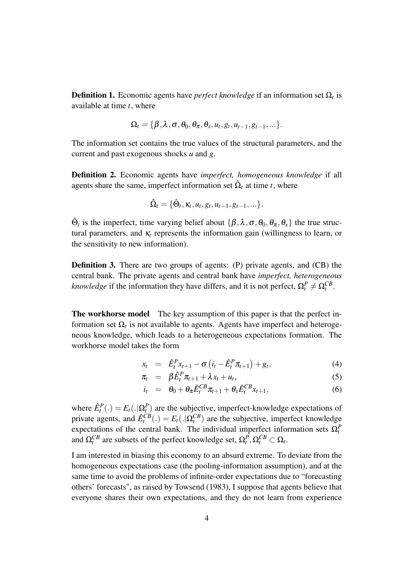**Definition 1.** Economic agents have *perfect knowledge* if an information set  $\Omega_t$  is available at time *t*, where

$$
\Omega_t = \{\beta, \lambda, \sigma, \theta_0, \theta_\pi, \theta_x, u_t, g_t, u_{t-1}, g_{t-1}, \dots\}.
$$

The information set contains the true values of the structural parameters, and the current and past exogenous shocks *u* and *g*.

Definition 2. Economic agents have *imperfect, homogeneous knowledge* if all agents share the same, imperfect information set  $\hat{\Omega}_t$  at time *t*, where

$$
\hat{\Omega}_t = \{\hat{\Theta}_t, \kappa_t, u_t, g_t, u_{t-1}, g_{t-1}, \dots\}.
$$

 $\hat{\Theta}_t$  is the imperfect, time varying belief about  $\{\beta, \lambda, \sigma, \theta_0, \theta_\pi, \theta_x\}$  the true structural parameters, and <sup>κ</sup>*<sup>t</sup>* represents the information gain (willingness to learn, or the sensitivity to new information).

Definition 3. There are two groups of agents: (P) private agents, and (CB) the central bank. The private agents and central bank have *imperfect, heterogeneous knowledge* if the information they have differs, and it is not perfect,  $\Omega_t^P \neq \Omega_t^{CB}$ .

The workhorse model The key assumption of this paper is that the perfect information set  $\Omega_t$  is not available to agents. Agents have imperfect and heterogeneous knowledge, which leads to a heterogeneous expectations formation. The workhorse model takes the form

$$
x_{t} = \hat{E}_{t}^{P} x_{t+1} - \sigma (i_{t} - \hat{E}_{t}^{P} \pi_{t+1}) + g_{t}, \qquad (4)
$$

$$
\pi_t = \beta \hat{E}_t^P \pi_{t+1} + \lambda x_t + u_t, \qquad (5)
$$

$$
i_t = \theta_0 + \theta_\pi \hat{E}_t^{CB} \pi_{t+1} + \theta_x \hat{E}_t^{CB} x_{t+1}, \tag{6}
$$

where  $\hat{E}_{t}^{P}(\cdot) = E_{t}(\cdot | \Omega_{t}^{P})$  are the subjective, imperfect-knowledge expectations of private agents, and  $\hat{E}^{CB}_t(.) = E_t(.|\Omega^{CB}_t)$  are the subjective, imperfect knowledge expectations of the central bank. The individual imperfect information sets  $\Omega_t^P$  and  $\Omega_t^{CB}$  are subsets of the perfect knowledge set,  $\Omega_t^P$ ,  $\Omega_t^{CB} \subset \Omega_t$ .

I am interested in biasing this economy to an absurd extreme. To deviate from the homogeneous expectations case (the pooling-information assumption), and at the same time to avoid the problems of infinite-order expectations due to "forecasting others' forecasts", as raised by Towsend (1983), I suppose that agents believe that everyone shares their own expectations, and they do not learn from experience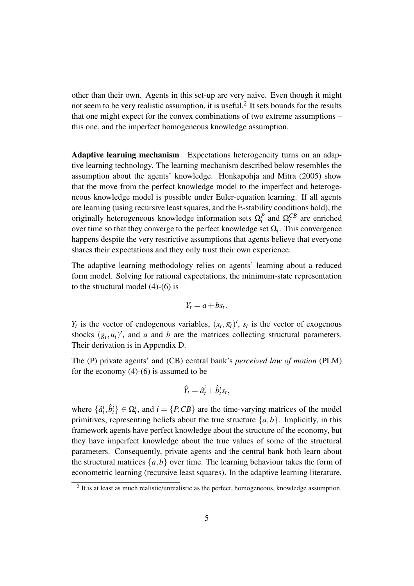other than their own. Agents in this set-up are very naive. Even though it might not seem to be very realistic assumption, it is useful.<sup>2</sup> It sets bounds for the results that one might expect for the convex combinations of two extreme assumptions – this one, and the imperfect homogeneous knowledge assumption.

Adaptive learning mechanism Expectations heterogeneity turns on an adaptive learning technology. The learning mechanism described below resembles the assumption about the agents' knowledge. Honkapohja and Mitra (2005) show that the move from the perfect knowledge model to the imperfect and heterogeneous knowledge model is possible under Euler-equation learning. If all agents are learning (using recursive least squares, and the E-stability conditions hold), the originally heterogeneous knowledge information sets  $\Omega_t^P$  and  $\Omega_t^{CB}$  are enriched over time so that they converge to the perfect knowledge set  $\Omega_t$ . This convergence happens despite the very restrictive assumptions that agents believe that everyone shares their expectations and they only trust their own experience.

The adaptive learning methodology relies on agents' learning about a reduced form model. Solving for rational expectations, the minimum-state representation to the structural model (4)-(6) is

$$
Y_t = a + bs_t.
$$

*Y<sub>t</sub>* is the vector of endogenous variables,  $(x_t, \pi_t)'$ ,  $s_t$  is the vector of exogenous shocks  $(g_t, u_t)'$ , and *a* and *b* are the matrices collecting structural parameters. Their derivation is in Appendix D.

The (P) private agents' and (CB) central bank's *perceived law of motion* (PLM) for the economy (4)-(6) is assumed to be

$$
\hat{Y}_t = \hat{a}_t^i + \hat{b}_t^i s_t,
$$

where  $\{\hat{a}_t^i, \hat{b}_t^i\} \in \Omega_t^i$ , and  $i = \{P, CB\}$  are the time-varying matrices of the model primitives, representing beliefs about the true structure  $\{a, b\}$ . Implicitly, in this framework agents have perfect knowledge about the structure of the economy, but they have imperfect knowledge about the true values of some of the structural parameters. Consequently, private agents and the central bank both learn about the structural matrices  $\{a,b\}$  over time. The learning behaviour takes the form of econometric learning (recursive least squares). In the adaptive learning literature,

 $2$  It is at least as much realistic/unrealistic as the perfect, homogeneous, knowledge assumption.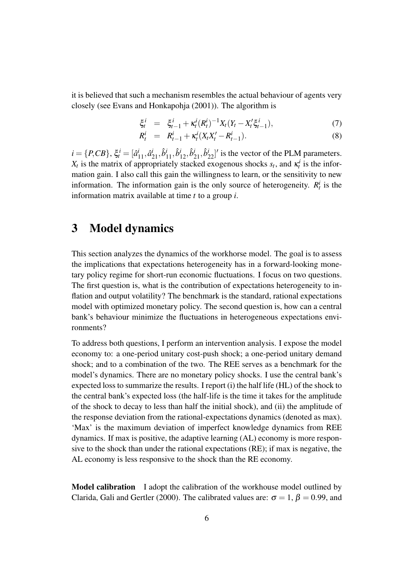it is believed that such a mechanism resembles the actual behaviour of agents very closely (see Evans and Honkapohja (2001)). The algorithm is

$$
\xi_t^i = \xi_{t-1}^i + \kappa_t^i (R_t^i)^{-1} X_t (Y_t - X_t^i \xi_{t-1}^i), \tag{7}
$$

$$
R_t^i = R_{t-1}^i + \kappa_t^i (X_t X_t' - R_{t-1}^i). \tag{8}
$$

 $i = \{P, CB\}, \xi_i^i = [\hat{a}_{11}^i, \hat{a}_{21}^i, \hat{b}_{11}^i, \hat{b}_{12}^i, \hat{b}_{21}^i, \hat{b}_{22}^i]$ ' is the vector of the PLM parameters. *X<sub>t</sub>* is the matrix of appropriately stacked exogenous shocks  $s_t$ , and  $\kappa_t^i$  is the information gain. I also call this gain the willingness to learn, or the sensitivity to new information. The information gain is the only source of heterogeneity.  $R_t^i$  is the information matrix available at time *t* to a group *i*.

# 3 Model dynamics

This section analyzes the dynamics of the workhorse model. The goal is to assess the implications that expectations heterogeneity has in a forward-looking monetary policy regime for short-run economic fluctuations. I focus on two questions. The first question is, what is the contribution of expectations heterogeneity to inflation and output volatility? The benchmark is the standard, rational expectations model with optimized monetary policy. The second question is, how can a central bank's behaviour minimize the fluctuations in heterogeneous expectations environments?

To address both questions, I perform an intervention analysis. I expose the model economy to: a one-period unitary cost-push shock; a one-period unitary demand shock; and to a combination of the two. The REE serves as a benchmark for the model's dynamics. There are no monetary policy shocks. I use the central bank's expected loss to summarize the results. I report (i) the half life (HL) of the shock to the central bank's expected loss (the half-life is the time it takes for the amplitude of the shock to decay to less than half the initial shock), and (ii) the amplitude of the response deviation from the rational-expectations dynamics (denoted as max). 'Max' is the maximum deviation of imperfect knowledge dynamics from REE dynamics. If max is positive, the adaptive learning (AL) economy is more responsive to the shock than under the rational expectations (RE); if max is negative, the AL economy is less responsive to the shock than the RE economy.

Model calibration I adopt the calibration of the workhouse model outlined by Clarida, Gali and Gertler (2000). The calibrated values are:  $\sigma = 1$ ,  $\beta = 0.99$ , and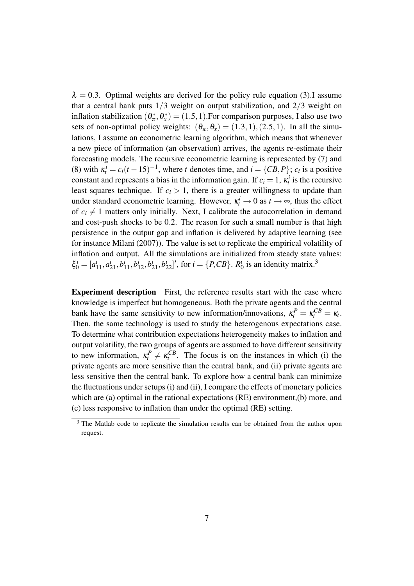$\lambda = 0.3$ . Optimal weights are derived for the policy rule equation (3). I assume that a central bank puts  $1/3$  weight on output stabilization, and  $2/3$  weight on inflation stabilization  $(\theta^*_{\pi}, \theta^*_{x}) = (1.5, 1)$ . For comparison purposes, I also use two sets of non-optimal policy weights:  $(\theta_{\pi}, \theta_{x}) = (1.3, 1), (2.5, 1)$ . In all the simulations, I assume an econometric learning algorithm, which means that whenever a new piece of information (an observation) arrives, the agents re-estimate their forecasting models. The recursive econometric learning is represented by (7) and (8) with  $\kappa_t^i = c_i(t-15)^{-1}$ , where *t* denotes time, and  $i = \{CB, P\}$ ;  $c_i$  is a positive constant and represents a bias in the information gain. If  $c_i = 1$ ,  $\kappa_t^i$  is the recursive least squares technique. If  $c_i > 1$ , there is a greater willingness to update than under standard econometric learning. However,  $\kappa_t^i \to 0$  as  $t \to \infty$ , thus the effect of  $c_i \neq 1$  matters only initially. Next, I calibrate the autocorrelation in demand and cost-push shocks to be 0.2. The reason for such a small number is that high persistence in the output gap and inflation is delivered by adaptive learning (see for instance Milani (2007)). The value is set to replicate the empirical volatility of inflation and output. All the simulations are initialized from steady state values:  $\xi_0^i = [a_{11}^i, a_{21}^i, b_{11}^i, b_{12}^i, b_{21}^i, b_{22}^i]'$ , for  $i = \{P, CB\}$ .  $R_0^i$  $\frac{i}{0}$  is an identity matrix.<sup>3</sup>

**Experiment description** First, the reference results start with the case where knowledge is imperfect but homogeneous. Both the private agents and the central bank have the same sensitivity to new information/innovations,  $\kappa_t^P = \kappa_t^{CB} = \kappa_t$ . Then, the same technology is used to study the heterogenous expectations case. To determine what contribution expectations heterogeneity makes to inflation and output volatility, the two groups of agents are assumed to have different sensitivity to new information,  $\kappa_t^P \neq \kappa_t^{CB}$ . The focus is on the instances in which (i) the private agents are more sensitive than the central bank, and (ii) private agents are less sensitive then the central bank. To explore how a central bank can minimize the fluctuations under setups (i) and (ii), I compare the effects of monetary policies which are (a) optimal in the rational expectations (RE) environment, (b) more, and (c) less responsive to inflation than under the optimal (RE) setting.

<sup>&</sup>lt;sup>3</sup> The Matlab code to replicate the simulation results can be obtained from the author upon request.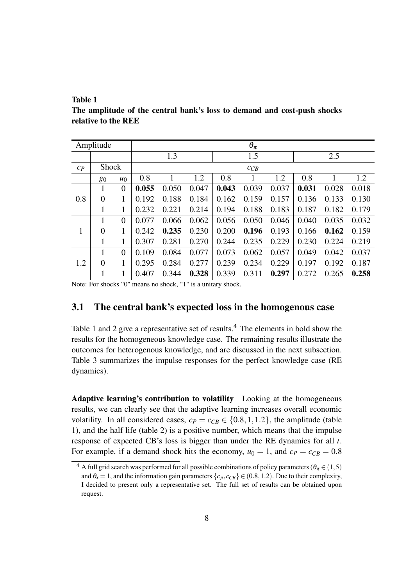#### Table 1

The amplitude of the central bank's loss to demand and cost-push shocks relative to the REE

| Amplitude      |              |                | $\theta_{\pi}$ |       |       |       |       |       |       |       |       |
|----------------|--------------|----------------|----------------|-------|-------|-------|-------|-------|-------|-------|-------|
|                |              |                |                | 1.3   |       |       | 1.5   |       |       | 2.5   |       |
| $\mathcal{C}P$ | <b>Shock</b> |                | $c_{CB}$       |       |       |       |       |       |       |       |       |
|                | 80           | $u_0$          | 0.8            |       | 1.2   | 0.8   | 1     | 1.2   | 0.8   |       | 1.2   |
| 0.8            |              | $\overline{0}$ | 0.055          | 0.050 | 0.047 | 0.043 | 0.039 | 0.037 | 0.031 | 0.028 | 0.018 |
|                | $\theta$     |                | 0.192          | 0.188 | 0.184 | 0.162 | 0.159 | 0.157 | 0.136 | 0.133 | 0.130 |
|                | 1            |                | 0.232          | 0.221 | 0.214 | 0.194 | 0.188 | 0.183 | 0.187 | 0.182 | 0.179 |
| 1              | 1            | $\overline{0}$ | 0.077          | 0.066 | 0.062 | 0.056 | 0.050 | 0.046 | 0.040 | 0.035 | 0.032 |
|                | $\Omega$     |                | 0.242          | 0.235 | 0.230 | 0.200 | 0.196 | 0.193 | 0.166 | 0.162 | 0.159 |
|                | 1            |                | 0.307          | 0.281 | 0.270 | 0.244 | 0.235 | 0.229 | 0.230 | 0.224 | 0.219 |
| 1.2            | 1            | $\Omega$       | 0.109          | 0.084 | 0.077 | 0.073 | 0.062 | 0.057 | 0.049 | 0.042 | 0.037 |
|                | $\theta$     |                | 0.295          | 0.284 | 0.277 | 0.239 | 0.234 | 0.229 | 0.197 | 0.192 | 0.187 |
|                | 1            |                | 0.407          | 0.344 | 0.328 | 0.339 | 0.311 | 0.297 | 0.272 | 0.265 | 0.258 |

Note: For shocks "0" means no shock, "1" is a unitary shock.

### 3.1 The central bank's expected loss in the homogenous case

Table 1 and 2 give a representative set of results.<sup>4</sup> The elements in bold show the results for the homogeneous knowledge case. The remaining results illustrate the outcomes for heterogenous knowledge, and are discussed in the next subsection. Table 3 summarizes the impulse responses for the perfect knowledge case (RE dynamics).

Adaptive learning's contribution to volatility Looking at the homogeneous results, we can clearly see that the adaptive learning increases overall economic volatility. In all considered cases,  $c_P = c_{CB} \in \{0.8, 1, 1.2\}$ , the amplitude (table 1), and the half life (table 2) is a positive number, which means that the impulse response of expected CB's loss is bigger than under the RE dynamics for all *t*. For example, if a demand shock hits the economy,  $u_0 = 1$ , and  $c_P = c_{CB} = 0.8$ 

<sup>&</sup>lt;sup>4</sup> A full grid search was performed for all possible combinations of policy parameters ( $\theta_{\pi} \in (1,5)$ ) and  $\theta_r = 1$ , and the information gain parameters  $\{c_p, c_{CB}\} \in (0.8, 1.2)$ . Due to their complexity, I decided to present only a representative set. The full set of results can be obtained upon request.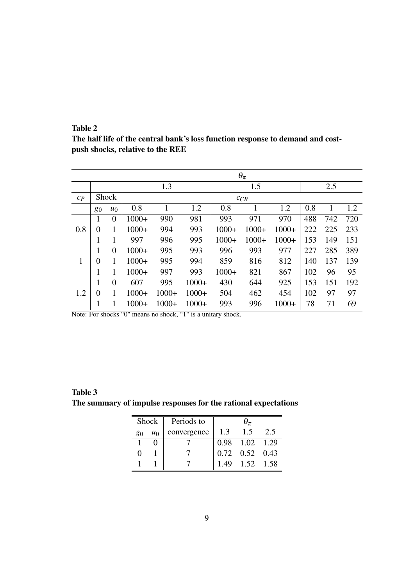## Table 2

The half life of the central bank's loss function response to demand and costpush shocks, relative to the REE

|                |                |                | $\theta_{\pi}$ |          |         |         |         |         |     |     |     |
|----------------|----------------|----------------|----------------|----------|---------|---------|---------|---------|-----|-----|-----|
|                |                |                |                | 1.3      |         |         | 1.5     |         |     | 2.5 |     |
| $\mathcal{C}P$ |                | <b>Shock</b>   |                | $c_{CB}$ |         |         |         |         |     |     |     |
|                | $g_0$          | $u_0$          | 0.8            | 1        | 1.2     | 0.8     |         | 1.2     | 0.8 |     | 1.2 |
| 0.8            | 1              | $\overline{0}$ | $1000+$        | 990      | 981     | 993     | 971     | 970     | 488 | 742 | 720 |
|                | $\overline{0}$ |                | $1000+$        | 994      | 993     | $1000+$ | $1000+$ | $1000+$ | 222 | 225 | 233 |
|                | 1              |                | 997            | 996      | 995     | $1000+$ | $1000+$ | $1000+$ | 153 | 149 | 151 |
| $\mathbf{1}$   | $\mathbf{1}$   | $\theta$       | $1000+$        | 995      | 993     | 996     | 993     | 977     | 227 | 285 | 389 |
|                | 0              |                | $1000+$        | 995      | 994     | 859     | 816     | 812     | 140 | 137 | 139 |
|                | 1              |                | $1000+$        | 997      | 993     | $1000+$ | 821     | 867     | 102 | 96  | 95  |
|                | 1              | $\overline{0}$ | 607            | 995      | $1000+$ | 430     | 644     | 925     | 153 | 151 | 192 |
| 1.2            | $\theta$       |                | $1000+$        | $1000+$  | $1000+$ | 504     | 462     | 454     | 102 | 97  | 97  |
|                | 1              |                | $1000+$        | $1000+$  | $1000+$ | 993     | 996     | $1000+$ | 78  | 71  | 69  |

Note: For shocks "0" means no shock, "1" is a unitary shock.

| Table 3                                                        |  |  |
|----------------------------------------------------------------|--|--|
| The summary of impulse responses for the rational expectations |  |  |

|             | Shock | Periods to  | $\theta_\pi$ |                      |     |  |  |
|-------------|-------|-------------|--------------|----------------------|-----|--|--|
| $u_0$<br>80 |       | convergence | 1.3          | 1.5                  | 2.5 |  |  |
|             |       |             |              | 0.98 1.02 1.29       |     |  |  |
|             |       |             |              | $0.72$ $0.52$ $0.43$ |     |  |  |
|             |       |             | 1.49         | 1.52 1.58            |     |  |  |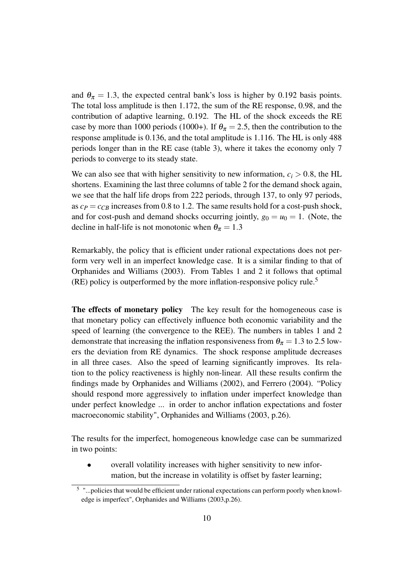and  $\theta_{\pi} = 1.3$ , the expected central bank's loss is higher by 0.192 basis points. The total loss amplitude is then 1.172, the sum of the RE response, 0.98, and the contribution of adaptive learning, 0.192. The HL of the shock exceeds the RE case by more than 1000 periods (1000+). If  $\theta_{\pi} = 2.5$ , then the contribution to the response amplitude is 0.136, and the total amplitude is 1.116. The HL is only 488 periods longer than in the RE case (table 3), where it takes the economy only 7 periods to converge to its steady state.

We can also see that with higher sensitivity to new information,  $c_i > 0.8$ , the HL shortens. Examining the last three columns of table 2 for the demand shock again, we see that the half life drops from 222 periods, through 137, to only 97 periods, as  $c_P = c_{CB}$  increases from 0.8 to 1.2. The same results hold for a cost-push shock, and for cost-push and demand shocks occurring jointly,  $g_0 = u_0 = 1$ . (Note, the decline in half-life is not monotonic when  $\theta_{\pi} = 1.3$ 

Remarkably, the policy that is efficient under rational expectations does not perform very well in an imperfect knowledge case. It is a similar finding to that of Orphanides and Williams (2003). From Tables 1 and 2 it follows that optimal (RE) policy is outperformed by the more inflation-responsive policy rule.<sup>5</sup>

The effects of monetary policy The key result for the homogeneous case is that monetary policy can effectively influence both economic variability and the speed of learning (the convergence to the REE). The numbers in tables 1 and 2 demonstrate that increasing the inflation responsiveness from  $\theta_{\pi} = 1.3$  to 2.5 lowers the deviation from RE dynamics. The shock response amplitude decreases in all three cases. Also the speed of learning significantly improves. Its relation to the policy reactiveness is highly non-linear. All these results confirm the findings made by Orphanides and Williams (2002), and Ferrero (2004). "Policy should respond more aggressively to inflation under imperfect knowledge than under perfect knowledge ... in order to anchor inflation expectations and foster macroeconomic stability", Orphanides and Williams (2003, p.26).

The results for the imperfect, homogeneous knowledge case can be summarized in two points:

• overall volatility increases with higher sensitivity to new information, but the increase in volatility is offset by faster learning;

<sup>&</sup>lt;sup>5</sup> "...policies that would be efficient under rational expectations can perform poorly when knowledge is imperfect", Orphanides and Williams (2003,p.26).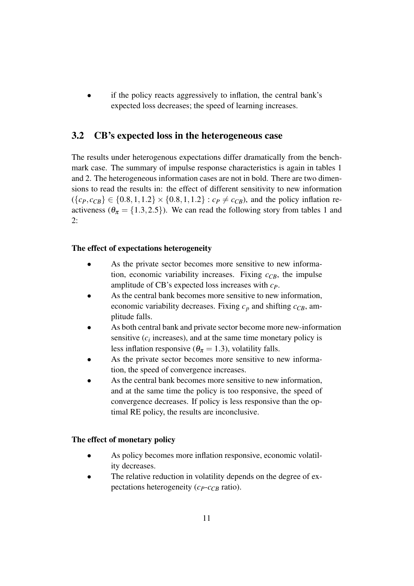• if the policy reacts aggressively to inflation, the central bank's expected loss decreases; the speed of learning increases.

### 3.2 CB's expected loss in the heterogeneous case

The results under heterogenous expectations differ dramatically from the benchmark case. The summary of impulse response characteristics is again in tables 1 and 2. The heterogeneous information cases are not in bold. There are two dimensions to read the results in: the effect of different sensitivity to new information  $({c_P, c_{CB}} \in {0.8, 1, 1.2} \times {0.8, 1, 1.2} : c_P \neq c_{CB})$ , and the policy inflation reactiveness ( $\theta_{\pi} = \{1.3, 2.5\}$ ). We can read the following story from tables 1 and 2:

#### The effect of expectations heterogeneity

- As the private sector becomes more sensitive to new information, economic variability increases. Fixing  $c_{CR}$ , the impulse amplitude of CB's expected loss increases with *cP*.
- As the central bank becomes more sensitive to new information, economic variability decreases. Fixing  $c_p$  and shifting  $c_{CB}$ , amplitude falls.
- As both central bank and private sector become more new-information sensitive  $(c_i$  increases), and at the same time monetary policy is less inflation responsive ( $\theta_{\pi} = 1.3$ ), volatility falls.
- As the private sector becomes more sensitive to new information, the speed of convergence increases.
- As the central bank becomes more sensitive to new information, and at the same time the policy is too responsive, the speed of convergence decreases. If policy is less responsive than the optimal RE policy, the results are inconclusive.

#### The effect of monetary policy

- As policy becomes more inflation responsive, economic volatility decreases.
- The relative reduction in volatility depends on the degree of expectations heterogeneity (*cP*-*cCB* ratio).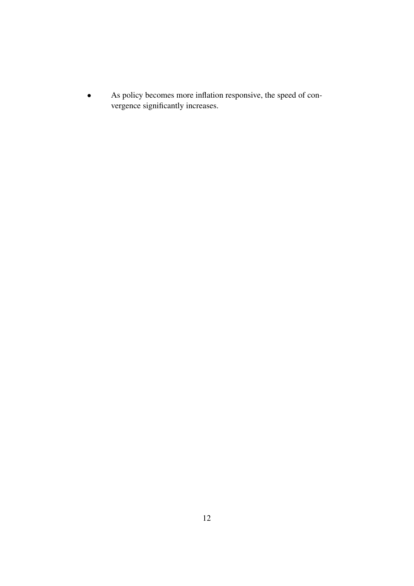• As policy becomes more inflation responsive, the speed of convergence significantly increases.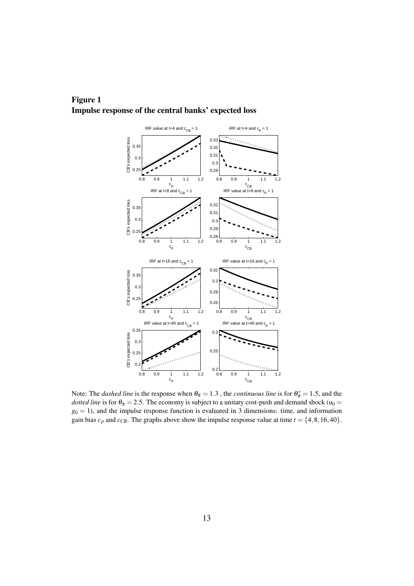

## Figure 1 Impulse response of the central banks' expected loss

Note: The *dashed line* is the response when  $\theta_{\pi} = 1.3$ , the *continuous line* is for  $\theta_{\pi}^{*} = 1.5$ , and the *dotted line* is for  $\theta_{\pi} = 2.5$ . The economy is subject to a unitary cost-push and demand shock ( $u_0 =$  $g_0 = 1$ ), and the impulse response function is evaluated in 3 dimensions: time, and information gain bias  $c_p$  and  $c_{CB}$ . The graphs above show the impulse response value at time  $t = \{4, 8, 16, 40\}$ .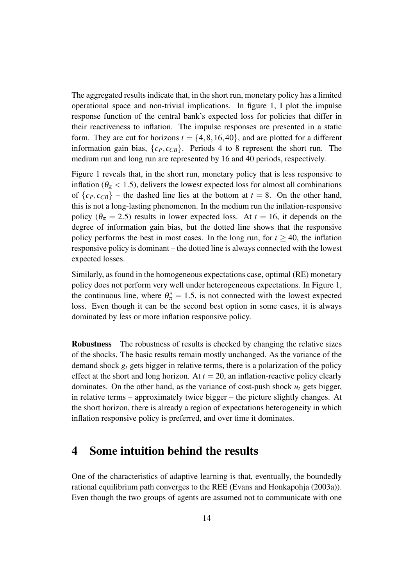The aggregated results indicate that, in the short run, monetary policy has a limited operational space and non-trivial implications. In figure 1, I plot the impulse response function of the central bank's expected loss for policies that differ in their reactiveness to inflation. The impulse responses are presented in a static form. They are cut for horizons  $t = \{4, 8, 16, 40\}$ , and are plotted for a different information gain bias,  $\{c_P, c_{CB}\}\$ . Periods 4 to 8 represent the short run. The medium run and long run are represented by 16 and 40 periods, respectively.

Figure 1 reveals that, in the short run, monetary policy that is less responsive to inflation ( $\theta_{\pi}$  < 1.5), delivers the lowest expected loss for almost all combinations of  ${c_P, c_{CB}}$  – the dashed line lies at the bottom at  $t = 8$ . On the other hand, this is not a long-lasting phenomenon. In the medium run the inflation-responsive policy ( $\theta_{\pi}$  = 2.5) results in lower expected loss. At  $t = 16$ , it depends on the degree of information gain bias, but the dotted line shows that the responsive policy performs the best in most cases. In the long run, for  $t \geq 40$ , the inflation responsive policy is dominant – the dotted line is always connected with the lowest expected losses.

Similarly, as found in the homogeneous expectations case, optimal (RE) monetary policy does not perform very well under heterogeneous expectations. In Figure 1, the continuous line, where  $\theta_{\pi}^* = 1.5$ , is not connected with the lowest expected loss. Even though it can be the second best option in some cases, it is always dominated by less or more inflation responsive policy.

Robustness The robustness of results is checked by changing the relative sizes of the shocks. The basic results remain mostly unchanged. As the variance of the demand shock *g<sup>t</sup>* gets bigger in relative terms, there is a polarization of the policy effect at the short and long horizon. At  $t = 20$ , an inflation-reactive policy clearly dominates. On the other hand, as the variance of cost-push shock  $u_t$  gets bigger, in relative terms – approximately twice bigger – the picture slightly changes. At the short horizon, there is already a region of expectations heterogeneity in which inflation responsive policy is preferred, and over time it dominates.

## 4 Some intuition behind the results

One of the characteristics of adaptive learning is that, eventually, the boundedly rational equilibrium path converges to the REE (Evans and Honkapohja (2003a)). Even though the two groups of agents are assumed not to communicate with one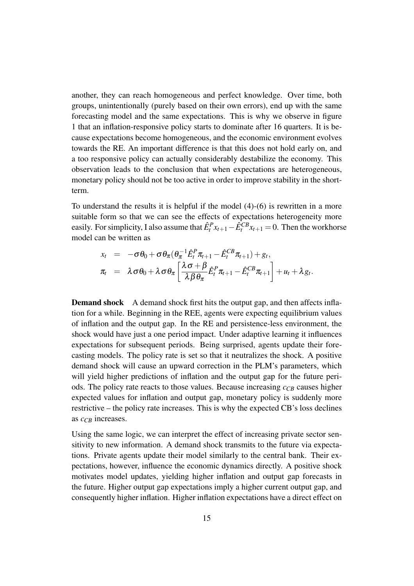another, they can reach homogeneous and perfect knowledge. Over time, both groups, unintentionally (purely based on their own errors), end up with the same forecasting model and the same expectations. This is why we observe in figure 1 that an inflation-responsive policy starts to dominate after 16 quarters. It is because expectations become homogeneous, and the economic environment evolves towards the RE. An important difference is that this does not hold early on, and a too responsive policy can actually considerably destabilize the economy. This observation leads to the conclusion that when expectations are heterogeneous, monetary policy should not be too active in order to improve stability in the shortterm.

To understand the results it is helpful if the model (4)-(6) is rewritten in a more suitable form so that we can see the effects of expectations heterogeneity more easily. For simplicity, I also assume that  $\hat{E}^P_t x_{t+1} - \hat{E}^{CB}_t x_{t+1} = 0$ . Then the workhorse model can be written as

$$
x_t = -\sigma \theta_0 + \sigma \theta_\pi (\theta_\pi^{-1} \hat{E}_t^P \pi_{t+1} - \hat{E}_t^{CB} \pi_{t+1}) + g_t,
$$
  

$$
\pi_t = \lambda \sigma \theta_0 + \lambda \sigma \theta_\pi \left[ \frac{\lambda \sigma + \beta}{\lambda \beta \theta_\pi} \hat{E}_t^P \pi_{t+1} - \hat{E}_t^{CB} \pi_{t+1} \right] + u_t + \lambda g_t.
$$

**Demand shock** A demand shock first hits the output gap, and then affects inflation for a while. Beginning in the REE, agents were expecting equilibrium values of inflation and the output gap. In the RE and persistence-less environment, the shock would have just a one period impact. Under adaptive learning it influences expectations for subsequent periods. Being surprised, agents update their forecasting models. The policy rate is set so that it neutralizes the shock. A positive demand shock will cause an upward correction in the PLM's parameters, which will yield higher predictions of inflation and the output gap for the future periods. The policy rate reacts to those values. Because increasing *cCB* causes higher expected values for inflation and output gap, monetary policy is suddenly more restrictive – the policy rate increases. This is why the expected CB's loss declines as *cCB* increases.

Using the same logic, we can interpret the effect of increasing private sector sensitivity to new information. A demand shock transmits to the future via expectations. Private agents update their model similarly to the central bank. Their expectations, however, influence the economic dynamics directly. A positive shock motivates model updates, yielding higher inflation and output gap forecasts in the future. Higher output gap expectations imply a higher current output gap, and consequently higher inflation. Higher inflation expectations have a direct effect on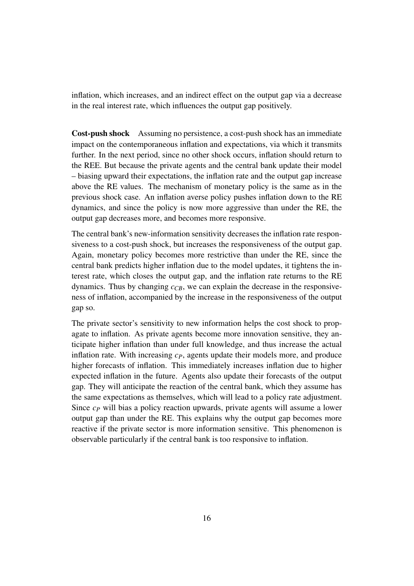inflation, which increases, and an indirect effect on the output gap via a decrease in the real interest rate, which influences the output gap positively.

Cost-push shock Assuming no persistence, a cost-push shock has an immediate impact on the contemporaneous inflation and expectations, via which it transmits further. In the next period, since no other shock occurs, inflation should return to the REE. But because the private agents and the central bank update their model – biasing upward their expectations, the inflation rate and the output gap increase above the RE values. The mechanism of monetary policy is the same as in the previous shock case. An inflation averse policy pushes inflation down to the RE dynamics, and since the policy is now more aggressive than under the RE, the output gap decreases more, and becomes more responsive.

The central bank's new-information sensitivity decreases the inflation rate responsiveness to a cost-push shock, but increases the responsiveness of the output gap. Again, monetary policy becomes more restrictive than under the RE, since the central bank predicts higher inflation due to the model updates, it tightens the interest rate, which closes the output gap, and the inflation rate returns to the RE dynamics. Thus by changing  $c_{CB}$ , we can explain the decrease in the responsiveness of inflation, accompanied by the increase in the responsiveness of the output gap so.

The private sector's sensitivity to new information helps the cost shock to propagate to inflation. As private agents become more innovation sensitive, they anticipate higher inflation than under full knowledge, and thus increase the actual inflation rate. With increasing *cP*, agents update their models more, and produce higher forecasts of inflation. This immediately increases inflation due to higher expected inflation in the future. Agents also update their forecasts of the output gap. They will anticipate the reaction of the central bank, which they assume has the same expectations as themselves, which will lead to a policy rate adjustment. Since *c<sup>P</sup>* will bias a policy reaction upwards, private agents will assume a lower output gap than under the RE. This explains why the output gap becomes more reactive if the private sector is more information sensitive. This phenomenon is observable particularly if the central bank is too responsive to inflation.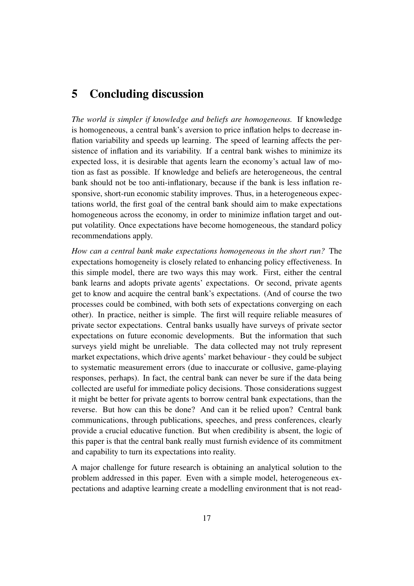## 5 Concluding discussion

*The world is simpler if knowledge and beliefs are homogeneous.* If knowledge is homogeneous, a central bank's aversion to price inflation helps to decrease inflation variability and speeds up learning. The speed of learning affects the persistence of inflation and its variability. If a central bank wishes to minimize its expected loss, it is desirable that agents learn the economy's actual law of motion as fast as possible. If knowledge and beliefs are heterogeneous, the central bank should not be too anti-inflationary, because if the bank is less inflation responsive, short-run economic stability improves. Thus, in a heterogeneous expectations world, the first goal of the central bank should aim to make expectations homogeneous across the economy, in order to minimize inflation target and output volatility. Once expectations have become homogeneous, the standard policy recommendations apply.

*How can a central bank make expectations homogeneous in the short run?* The expectations homogeneity is closely related to enhancing policy effectiveness. In this simple model, there are two ways this may work. First, either the central bank learns and adopts private agents' expectations. Or second, private agents get to know and acquire the central bank's expectations. (And of course the two processes could be combined, with both sets of expectations converging on each other). In practice, neither is simple. The first will require reliable measures of private sector expectations. Central banks usually have surveys of private sector expectations on future economic developments. But the information that such surveys yield might be unreliable. The data collected may not truly represent market expectations, which drive agents' market behaviour - they could be subject to systematic measurement errors (due to inaccurate or collusive, game-playing responses, perhaps). In fact, the central bank can never be sure if the data being collected are useful for immediate policy decisions. Those considerations suggest it might be better for private agents to borrow central bank expectations, than the reverse. But how can this be done? And can it be relied upon? Central bank communications, through publications, speeches, and press conferences, clearly provide a crucial educative function. But when credibility is absent, the logic of this paper is that the central bank really must furnish evidence of its commitment and capability to turn its expectations into reality.

A major challenge for future research is obtaining an analytical solution to the problem addressed in this paper. Even with a simple model, heterogeneous expectations and adaptive learning create a modelling environment that is not read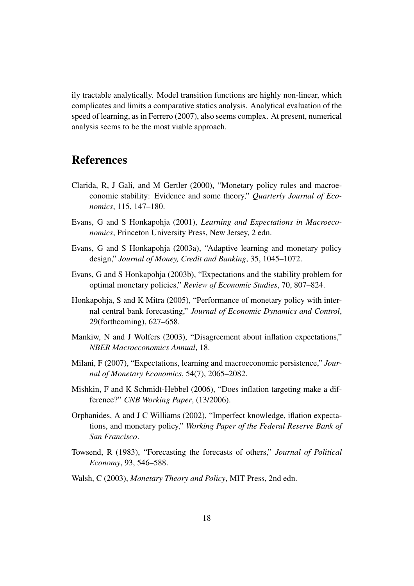ily tractable analytically. Model transition functions are highly non-linear, which complicates and limits a comparative statics analysis. Analytical evaluation of the speed of learning, as in Ferrero (2007), also seems complex. At present, numerical analysis seems to be the most viable approach.

## References

- Clarida, R, J Gali, and M Gertler (2000), "Monetary policy rules and macroeconomic stability: Evidence and some theory," *Quarterly Journal of Economics*, 115, 147–180.
- Evans, G and S Honkapohja (2001), *Learning and Expectations in Macroeconomics*, Princeton University Press, New Jersey, 2 edn.
- Evans, G and S Honkapohja (2003a), "Adaptive learning and monetary policy design," *Journal of Money, Credit and Banking*, 35, 1045–1072.
- Evans, G and S Honkapohja (2003b), "Expectations and the stability problem for optimal monetary policies," *Review of Economic Studies*, 70, 807–824.
- Honkapohja, S and K Mitra (2005), "Performance of monetary policy with internal central bank forecasting," *Journal of Economic Dynamics and Control*, 29(forthcoming), 627–658.
- Mankiw, N and J Wolfers (2003), "Disagreement about inflation expectations," *NBER Macroeconomics Annual*, 18.
- Milani, F (2007), "Expectations, learning and macroeconomic persistence," *Journal of Monetary Economics*, 54(7), 2065–2082.
- Mishkin, F and K Schmidt-Hebbel (2006), "Does inflation targeting make a difference?" *CNB Working Paper*, (13/2006).
- Orphanides, A and J C Williams (2002), "Imperfect knowledge, iflation expectations, and monetary policy," *Working Paper of the Federal Reserve Bank of San Francisco*.
- Towsend, R (1983), "Forecasting the forecasts of others," *Journal of Political Economy*, 93, 546–588.
- Walsh, C (2003), *Monetary Theory and Policy*, MIT Press, 2nd edn.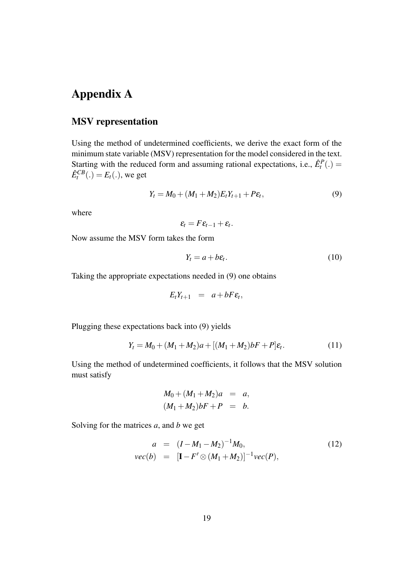# Appendix A

## MSV representation

Using the method of undetermined coefficients, we derive the exact form of the minimum state variable (MSV) representation for the model considered in the text. Starting with the reduced form and assuming rational expectations, i.e.,  $\hat{E}_t^P(.)$  =  $\hat{E}^{CB}_t(.) = E_t(.)$ , we get

$$
Y_t = M_0 + (M_1 + M_2)E_tY_{t+1} + P\varepsilon_t, \tag{9}
$$

where

$$
\varepsilon_t=F\varepsilon_{t-1}+\varepsilon_t.
$$

Now assume the MSV form takes the form

$$
Y_t = a + b\varepsilon_t. \tag{10}
$$

Taking the appropriate expectations needed in (9) one obtains

$$
E_t Y_{t+1} = a + b F \varepsilon_t,
$$

Plugging these expectations back into (9) yields

$$
Y_t = M_0 + (M_1 + M_2)a + [(M_1 + M_2)bF + P]\varepsilon_t.
$$
 (11)

Using the method of undetermined coefficients, it follows that the MSV solution must satisfy

$$
M_0 + (M_1 + M_2)a = a,
$$
  
\n
$$
(M_1 + M_2)bF + P = b.
$$

Solving for the matrices *a*, and *b* we get

$$
a = (I - M_1 - M_2)^{-1} M_0,
$$
  
\n
$$
vec(b) = [I - F' \otimes (M_1 + M_2)]^{-1} vec(P),
$$
\n(12)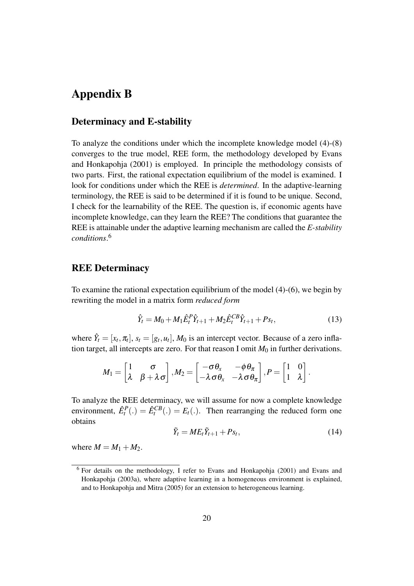# Appendix B

### Determinacy and E-stability

To analyze the conditions under which the incomplete knowledge model (4)-(8) converges to the true model, REE form, the methodology developed by Evans and Honkapohja (2001) is employed. In principle the methodology consists of two parts. First, the rational expectation equilibrium of the model is examined. I look for conditions under which the REE is *determined*. In the adaptive-learning terminology, the REE is said to be determined if it is found to be unique. Second, I check for the learnability of the REE. The question is, if economic agents have incomplete knowledge, can they learn the REE? The conditions that guarantee the REE is attainable under the adaptive learning mechanism are called the *E-stability conditions*. 6

### REE Determinacy

To examine the rational expectation equilibrium of the model (4)-(6), we begin by rewriting the model in a matrix form *reduced form*

$$
\hat{Y}_t = M_0 + M_1 \hat{E}_t^P \hat{Y}_{t+1} + M_2 \hat{E}_t^{CB} \hat{Y}_{t+1} + P_{St},
$$
\n(13)

where  $\hat{Y}_t = [x_t, \pi_t]$ ,  $s_t = [g_t, u_t]$ ,  $M_0$  is an intercept vector. Because of a zero inflation target, all intercepts are zero. For that reason I omit  $M_0$  in further derivations.

$$
M_1=\begin{bmatrix} 1 & \sigma \\ \lambda & \beta+\lambda\sigma \end{bmatrix}, M_2=\begin{bmatrix} -\sigma\theta_x & -\phi\theta_{\pi} \\ -\lambda\sigma\theta_x & -\lambda\sigma\theta_{\pi} \end{bmatrix}, P=\begin{bmatrix} 1 & 0 \\ 1 & \lambda \end{bmatrix}.
$$

To analyze the REE determinacy, we will assume for now a complete knowledge environment,  $\hat{E}^P_t(.) = \hat{E}^{CB}_t(.) = E_t(.)$ . Then rearranging the reduced form one obtains

$$
\tilde{Y}_t = ME_t \tilde{Y}_{t+1} + Ps_t, \qquad (14)
$$

where  $M = M_1 + M_2$ .

<sup>6</sup> For details on the methodology, I refer to Evans and Honkapohja (2001) and Evans and Honkapohja (2003a), where adaptive learning in a homogeneous environment is explained, and to Honkapohja and Mitra (2005) for an extension to heterogeneous learning.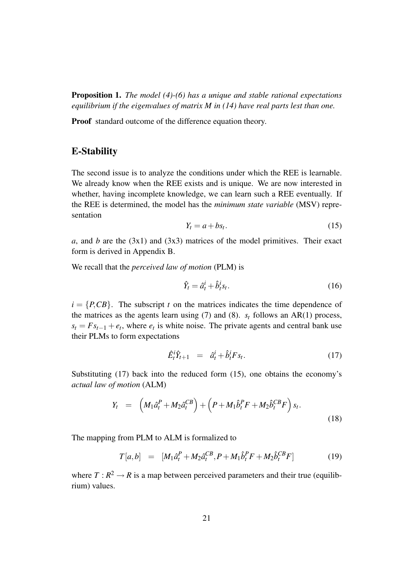Proposition 1. *The model (4)-(6) has a unique and stable rational expectations equilibrium if the eigenvalues of matrix M in (14) have real parts lest than one.*

Proof standard outcome of the difference equation theory.

### E-Stability

The second issue is to analyze the conditions under which the REE is learnable. We already know when the REE exists and is unique. We are now interested in whether, having incomplete knowledge, we can learn such a REE eventually. If the REE is determined, the model has the *minimum state variable* (MSV) representation

$$
Y_t = a + bs_t. \tag{15}
$$

*a*, and *b* are the (3x1) and (3x3) matrices of the model primitives. Their exact form is derived in Appendix B.

We recall that the *perceived law of motion* (PLM) is

$$
\hat{Y}_t = \hat{a}_t^i + \hat{b}_t^i s_t. \tag{16}
$$

 $i = {P, CB}$ . The subscript *t* on the matrices indicates the time dependence of the matrices as the agents learn using  $(7)$  and  $(8)$ .  $s_t$  follows an AR $(1)$  process,  $s_t = Fs_{t-1} + e_t$ , where  $e_t$  is white noise. The private agents and central bank use their PLMs to form expectations

$$
\hat{E}_t^i \hat{Y}_{t+1} = \hat{a}_t^i + \hat{b}_t^i F s_t. \tag{17}
$$

Substituting (17) back into the reduced form (15), one obtains the economy's *actual law of motion* (ALM)

$$
Y_t = \left( M_1 \hat{a}_t^P + M_2 \hat{a}_t^{CB} \right) + \left( P + M_1 \hat{b}_t^P F + M_2 \hat{b}_t^{CB} F \right) s_t.
$$
\n(18)

The mapping from PLM to ALM is formalized to

$$
T[a,b] = [M_1 \hat{a}_t^P + M_2 \hat{a}_t^{CB}, P + M_1 \hat{b}_t^P F + M_2 \hat{b}_t^{CB} F] \tag{19}
$$

where  $T: \mathbb{R}^2 \to \mathbb{R}$  is a map between perceived parameters and their true (equilibrium) values.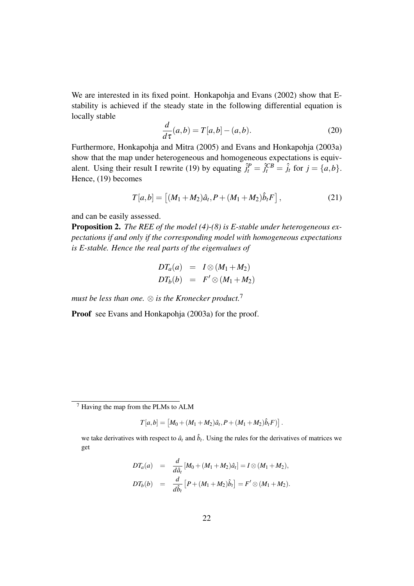We are interested in its fixed point. Honkapohja and Evans (2002) show that Estability is achieved if the steady state in the following differential equation is locally stable

$$
\frac{d}{d\tau}(a,b) = T[a,b] - (a,b). \tag{20}
$$

Furthermore, Honkapohja and Mitra (2005) and Evans and Honkapohja (2003a) show that the map under heterogeneous and homogeneous expectations is equivalent. Using their result I rewrite (19) by equating  $\hat{j}_t^P = \hat{j}_t^{CB} = \hat{j}_t$  for  $j = \{a, b\}$ . Hence, (19) becomes

$$
T[a,b] = [(M_1 + M_2)\hat{a}_t, P + (M_1 + M_2)\hat{b}_t F],
$$
\n(21)

and can be easily assessed.

Proposition 2. *The REE of the model (4)-(8) is E-stable under heterogeneous expectations if and only if the corresponding model with homogeneous expectations is E-stable. Hence the real parts of the eigenvalues of*

$$
DT_a(a) = I \otimes (M_1 + M_2)
$$
  

$$
DT_b(b) = F' \otimes (M_1 + M_2)
$$

*must be less than one.* ⊗ *is the Kronecker product.*<sup>7</sup>

Proof see Evans and Honkapohja (2003a) for the proof.

$$
T[a,b] = [M_0 + (M_1 + M_2)\hat{a}_t, P + (M_1 + M_2)\hat{b}_t F)].
$$

$$
DT_a(a) = \frac{d}{d\hat{a}_t} [M_0 + (M_1 + M_2)\hat{a}_t] = I \otimes (M_1 + M_2),
$$
  

$$
DT_b(b) = \frac{d}{d\hat{b}_t} [P + (M_1 + M_2)\hat{b}_t] = F' \otimes (M_1 + M_2).
$$

 $\frac{7}{7}$  Having the map from the PLMs to ALM

we take derivatives with respect to  $\hat{a}_t$  and  $\hat{b}_t$ . Using the rules for the derivatives of matrices we get